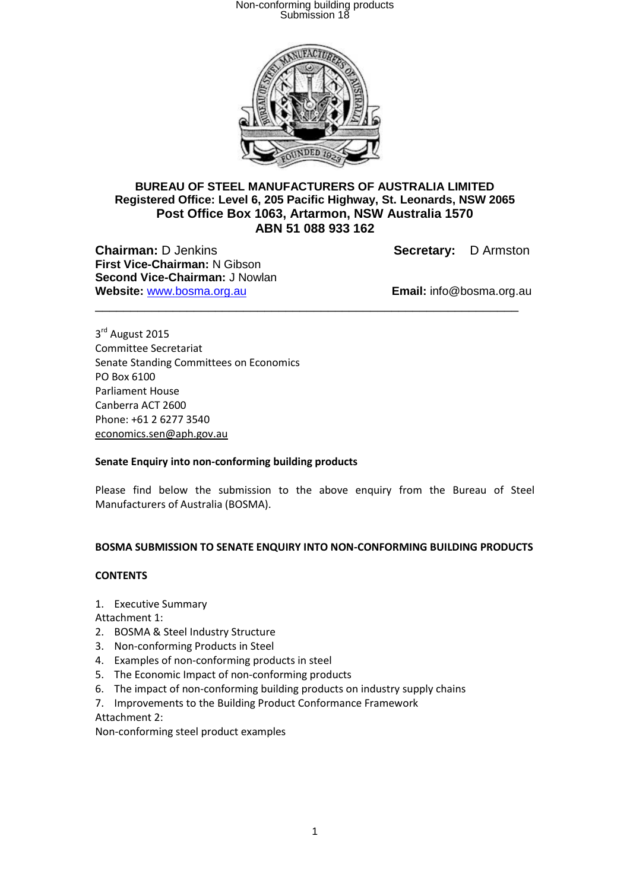

### **BUREAU OF STEEL MANUFACTURERS OF AUSTRALIA LIMITED Registered Office: Level 6, 205 Pacific Highway, St. Leonards, NSW 2065 Post Office Box 1063, Artarmon, NSW Australia 1570 ABN 51 088 933 162**

\_\_\_\_\_\_\_\_\_\_\_\_\_\_\_\_\_\_\_\_\_\_\_\_\_\_\_\_\_\_\_\_\_\_\_\_\_\_\_\_\_\_\_\_\_\_\_\_\_\_\_\_\_\_\_\_\_\_\_\_

**Chairman:** D Jenkins **Secretary:** D Armston **First Vice-Chairman:** N Gibson **Second Vice-Chairman:** J Nowlan **Website:** www.bosma.org.au **Email:** info@bosma.org.au

3<sup>rd</sup> August 2015 Committee Secretariat Senate Standing Committees on Economics PO Box 6100 Parliament House Canberra ACT 2600 Phone: +61 2 6277 3540 [economics.sen@aph.gov.au](mailto:economics.sen@aph.gov.au)

### **Senate Enquiry into non-conforming building products**

Please find below the submission to the above enquiry from the Bureau of Steel Manufacturers of Australia (BOSMA).

### **BOSMA SUBMISSION TO SENATE ENQUIRY INTO NON-CONFORMING BUILDING PRODUCTS**

#### **CONTENTS**

1. Executive Summary

Attachment 1:

- 2. BOSMA & Steel Industry Structure
- 3. Non-conforming Products in Steel
- 4. Examples of non-conforming products in steel
- 5. The Economic Impact of non-conforming products
- 6. The impact of non-conforming building products on industry supply chains
- 7. Improvements to the Building Product Conformance Framework

Attachment 2:

Non-conforming steel product examples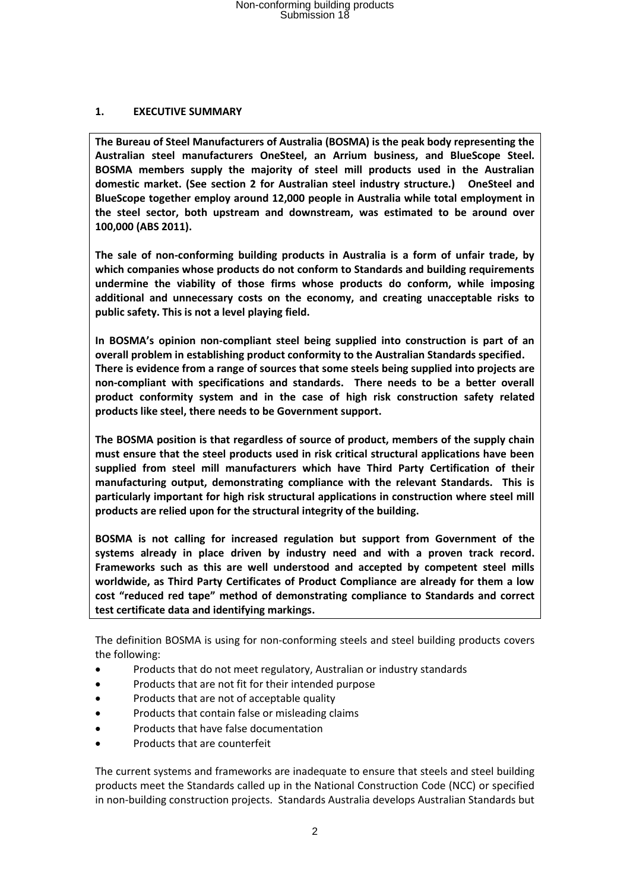### **1. EXECUTIVE SUMMARY**

**The Bureau of Steel Manufacturers of Australia (BOSMA) is the peak body representing the Australian steel manufacturers OneSteel, an Arrium business, and BlueScope Steel. BOSMA members supply the majority of steel mill products used in the Australian domestic market. (See section 2 for Australian steel industry structure.) OneSteel and BlueScope together employ around 12,000 people in Australia while total employment in the steel sector, both upstream and downstream, was estimated to be around over 100,000 (ABS 2011).** 

**The sale of non-conforming building products in Australia is a form of unfair trade, by which companies whose products do not conform to Standards and building requirements undermine the viability of those firms whose products do conform, while imposing additional and unnecessary costs on the economy, and creating unacceptable risks to public safety. This is not a level playing field.** 

**In BOSMA's opinion non-compliant steel being supplied into construction is part of an overall problem in establishing product conformity to the Australian Standards specified. There is evidence from a range of sources that some steels being supplied into projects are non-compliant with specifications and standards. There needs to be a better overall product conformity system and in the case of high risk construction safety related products like steel, there needs to be Government support.**

**The BOSMA position is that regardless of source of product, members of the supply chain must ensure that the steel products used in risk critical structural applications have been supplied from steel mill manufacturers which have Third Party Certification of their manufacturing output, demonstrating compliance with the relevant Standards. This is particularly important for high risk structural applications in construction where steel mill products are relied upon for the structural integrity of the building.**

**BOSMA is not calling for increased regulation but support from Government of the systems already in place driven by industry need and with a proven track record. Frameworks such as this are well understood and accepted by competent steel mills worldwide, as Third Party Certificates of Product Compliance are already for them a low cost "reduced red tape" method of demonstrating compliance to Standards and correct test certificate data and identifying markings.**

The definition BOSMA is using for non-conforming steels and steel building products covers the following:

- Products that do not meet regulatory, Australian or industry standards
- Products that are not fit for their intended purpose
- Products that are not of acceptable quality
- Products that contain false or misleading claims
- Products that have false documentation
- Products that are counterfeit

The current systems and frameworks are inadequate to ensure that steels and steel building products meet the Standards called up in the National Construction Code (NCC) or specified in non-building construction projects. Standards Australia develops Australian Standards but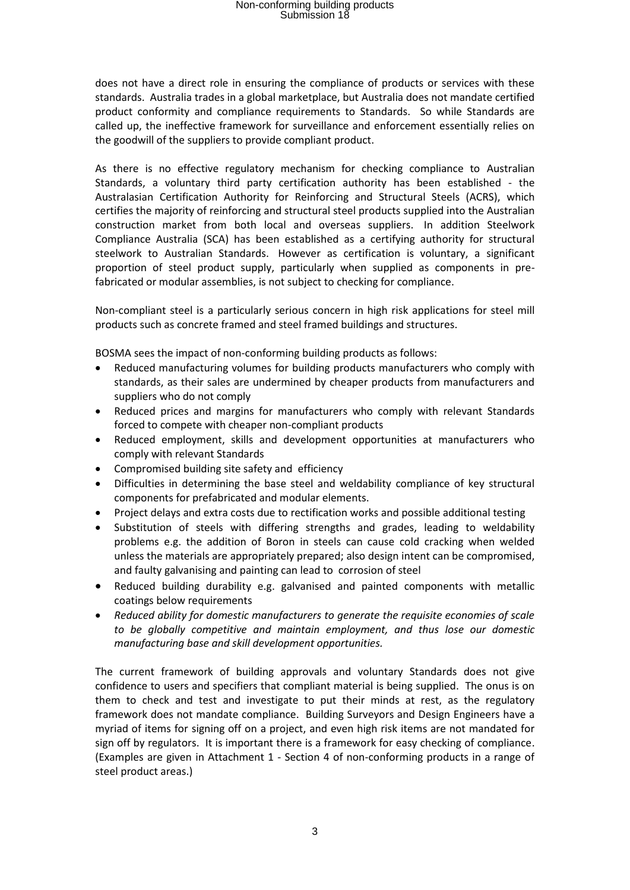does not have a direct role in ensuring the compliance of products or services with these standards. Australia trades in a global marketplace, but Australia does not mandate certified product conformity and compliance requirements to Standards. So while Standards are called up, the ineffective framework for surveillance and enforcement essentially relies on the goodwill of the suppliers to provide compliant product.

As there is no effective regulatory mechanism for checking compliance to Australian Standards, a voluntary third party certification authority has been established - the Australasian Certification Authority for Reinforcing and Structural Steels (ACRS), which certifies the majority of reinforcing and structural steel products supplied into the Australian construction market from both local and overseas suppliers. In addition Steelwork Compliance Australia (SCA) has been established as a certifying authority for structural steelwork to Australian Standards. However as certification is voluntary, a significant proportion of steel product supply, particularly when supplied as components in prefabricated or modular assemblies, is not subject to checking for compliance.

Non-compliant steel is a particularly serious concern in high risk applications for steel mill products such as concrete framed and steel framed buildings and structures.

BOSMA sees the impact of non-conforming building products as follows:

- Reduced manufacturing volumes for building products manufacturers who comply with standards, as their sales are undermined by cheaper products from manufacturers and suppliers who do not comply
- Reduced prices and margins for manufacturers who comply with relevant Standards forced to compete with cheaper non-compliant products
- Reduced employment, skills and development opportunities at manufacturers who comply with relevant Standards
- Compromised building site safety and efficiency
- Difficulties in determining the base steel and weldability compliance of key structural components for prefabricated and modular elements.
- Project delays and extra costs due to rectification works and possible additional testing
- Substitution of steels with differing strengths and grades, leading to weldability problems e.g. the addition of Boron in steels can cause cold cracking when welded unless the materials are appropriately prepared; also design intent can be compromised, and faulty galvanising and painting can lead to corrosion of steel
- Reduced building durability e.g. galvanised and painted components with metallic coatings below requirements
- *Reduced ability for domestic manufacturers to generate the requisite economies of scale to be globally competitive and maintain employment, and thus lose our domestic manufacturing base and skill development opportunities.*

The current framework of building approvals and voluntary Standards does not give confidence to users and specifiers that compliant material is being supplied. The onus is on them to check and test and investigate to put their minds at rest, as the regulatory framework does not mandate compliance. Building Surveyors and Design Engineers have a myriad of items for signing off on a project, and even high risk items are not mandated for sign off by regulators. It is important there is a framework for easy checking of compliance. (Examples are given in Attachment 1 - Section 4 of non-conforming products in a range of steel product areas.)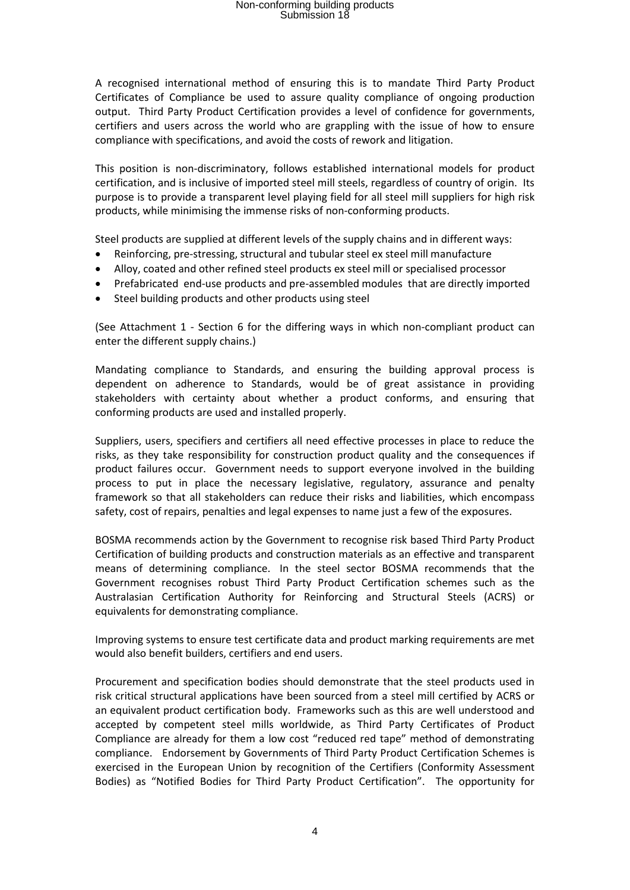A recognised international method of ensuring this is to mandate Third Party Product Certificates of Compliance be used to assure quality compliance of ongoing production output. Third Party Product Certification provides a level of confidence for governments, certifiers and users across the world who are grappling with the issue of how to ensure compliance with specifications, and avoid the costs of rework and litigation.

This position is non-discriminatory, follows established international models for product certification, and is inclusive of imported steel mill steels, regardless of country of origin. Its purpose is to provide a transparent level playing field for all steel mill suppliers for high risk products, while minimising the immense risks of non-conforming products.

Steel products are supplied at different levels of the supply chains and in different ways:

- Reinforcing, pre-stressing, structural and tubular steel ex steel mill manufacture
- Alloy, coated and other refined steel products ex steel mill or specialised processor
- Prefabricated end-use products and pre-assembled modules that are directly imported
- Steel building products and other products using steel

(See Attachment 1 - Section 6 for the differing ways in which non-compliant product can enter the different supply chains.)

Mandating compliance to Standards, and ensuring the building approval process is dependent on adherence to Standards, would be of great assistance in providing stakeholders with certainty about whether a product conforms, and ensuring that conforming products are used and installed properly.

Suppliers, users, specifiers and certifiers all need effective processes in place to reduce the risks, as they take responsibility for construction product quality and the consequences if product failures occur. Government needs to support everyone involved in the building process to put in place the necessary legislative, regulatory, assurance and penalty framework so that all stakeholders can reduce their risks and liabilities, which encompass safety, cost of repairs, penalties and legal expenses to name just a few of the exposures.

BOSMA recommends action by the Government to recognise risk based Third Party Product Certification of building products and construction materials as an effective and transparent means of determining compliance. In the steel sector BOSMA recommends that the Government recognises robust Third Party Product Certification schemes such as the Australasian Certification Authority for Reinforcing and Structural Steels (ACRS) or equivalents for demonstrating compliance.

Improving systems to ensure test certificate data and product marking requirements are met would also benefit builders, certifiers and end users.

Procurement and specification bodies should demonstrate that the steel products used in risk critical structural applications have been sourced from a steel mill certified by ACRS or an equivalent product certification body. Frameworks such as this are well understood and accepted by competent steel mills worldwide, as Third Party Certificates of Product Compliance are already for them a low cost "reduced red tape" method of demonstrating compliance. Endorsement by Governments of Third Party Product Certification Schemes is exercised in the European Union by recognition of the Certifiers (Conformity Assessment Bodies) as "Notified Bodies for Third Party Product Certification". The opportunity for